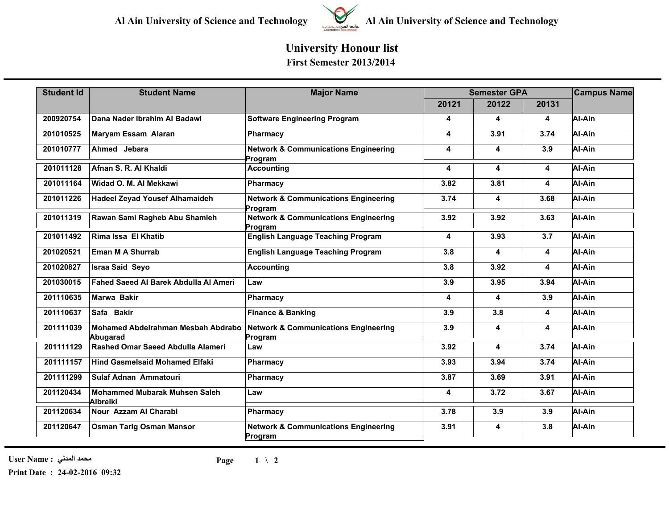

## **University Honour list First Semester 2013/2014**

| <b>Student Id</b> | <b>Student Name</b>                              | <b>Major Name</b>                                          | <b>Semester GPA</b>     |       |       | <b>Campus Name</b> |
|-------------------|--------------------------------------------------|------------------------------------------------------------|-------------------------|-------|-------|--------------------|
|                   |                                                  |                                                            | 20121                   | 20122 | 20131 |                    |
| 200920754         | Dana Nader Ibrahim Al Badawi                     | <b>Software Engineering Program</b>                        | 4                       | 4     | 4     | Al-Ain             |
| 201010525         | Maryam Essam Alaran                              | Pharmacy                                                   | 4                       | 3.91  | 3.74  | Al-Ain             |
| 201010777         | Ahmed Jebara                                     | <b>Network &amp; Communications Engineering</b><br>Program | 4                       | 4     | 3.9   | Al-Ain             |
| 201011128         | Afnan S. R. Al Khaldi                            | <b>Accounting</b>                                          | 4                       | 4     | 4     | Al-Ain             |
| 201011164         | Widad O. M. Al Mekkawi                           | Pharmacy                                                   | 3.82                    | 3.81  | 4     | Al-Ain             |
| 201011226         | <b>Hadeel Zeyad Yousef Alhamaideh</b>            | <b>Network &amp; Communications Engineering</b><br>Program | 3.74                    | 4     | 3.68  | Al-Ain             |
| 201011319         | Rawan Sami Ragheb Abu Shamleh                    | <b>Network &amp; Communications Engineering</b><br>Program | 3.92                    | 3.92  | 3.63  | Al-Ain             |
| 201011492         | Rima Issa El Khatib                              | <b>English Language Teaching Program</b>                   | 4                       | 3.93  | 3.7   | Al-Ain             |
| 201020521         | Eman M A Shurrab                                 | <b>English Language Teaching Program</b>                   | 3.8                     | 4     | 4     | Al-Ain             |
| 201020827         | <b>Israa Said Seyo</b>                           | <b>Accounting</b>                                          | 3.8                     | 3.92  | 4     | Al-Ain             |
| 201030015         | <b>Fahed Saeed AI Barek Abdulla AI Ameri</b>     | Law                                                        | 3.9                     | 3.95  | 3.94  | Al-Ain             |
| 201110635         | Marwa Bakir                                      | Pharmacy                                                   | $\overline{\mathbf{4}}$ | 4     | 3.9   | Al-Ain             |
| 201110637         | Safa Bakir                                       | <b>Finance &amp; Banking</b>                               | 3.9                     | 3.8   | 4     | Al-Ain             |
| 201111039         | Mohamed Abdelrahman Mesbah Abdrabo<br>Abugarad   | <b>Network &amp; Communications Engineering</b><br>Program | 3.9                     | 4     | 4     | Al-Ain             |
| 201111129         | Rashed Omar Saeed Abdulla Alameri                | Law                                                        | 3.92                    | 4     | 3.74  | Al-Ain             |
| 201111157         | <b>Hind Gasmelsaid Mohamed Elfaki</b>            | Pharmacy                                                   | 3.93                    | 3.94  | 3.74  | Al-Ain             |
| 201111299         | Sulaf Adnan Ammatouri                            | Pharmacy                                                   | 3.87                    | 3.69  | 3.91  | Al-Ain             |
| 201120434         | <b>Mohammed Mubarak Muhsen Saleh</b><br>Albreiki | Law                                                        | 4                       | 3.72  | 3.67  | Al-Ain             |
| 201120634         | Nour Azzam Al Charabi                            | Pharmacy                                                   | 3.78                    | 3.9   | 3.9   | Al-Ain             |
| 201120647         | <b>Osman Tarig Osman Mansor</b>                  | <b>Network &amp; Communications Engineering</b><br>Program | 3.91                    | 4     | 3.8   | Al-Ain             |